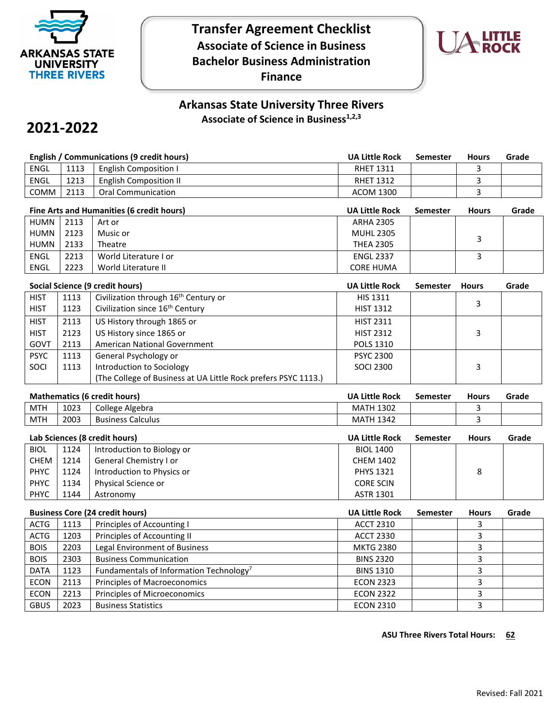

## **Transfer Agreement Checklist Associate of Science in Business Bachelor Business Administration Finance**



## **Arkansas State University Three Rivers**  Associate of Science in Business<sup>1,2,3</sup>

# **2021-2022**

|                                     | <b>English / Communications (9 credit hours)</b> |                                                                |                       | Semester        | <b>Hours</b> | Grade |
|-------------------------------------|--------------------------------------------------|----------------------------------------------------------------|-----------------------|-----------------|--------------|-------|
| <b>ENGL</b>                         | 1113<br><b>English Composition I</b>             |                                                                | <b>RHET 1311</b>      |                 | 3            |       |
| <b>ENGL</b>                         | 1213                                             | <b>English Composition II</b>                                  | <b>RHET 1312</b>      |                 | 3            |       |
| COMM                                | 2113                                             | <b>Oral Communication</b>                                      | <b>ACOM 1300</b>      |                 | 3            |       |
|                                     |                                                  | Fine Arts and Humanities (6 credit hours)                      | <b>UA Little Rock</b> | <b>Semester</b> | <b>Hours</b> | Grade |
| <b>HUMN</b>                         | 2113                                             | Art or                                                         | <b>ARHA 2305</b>      |                 |              |       |
| <b>HUMN</b>                         | 2123                                             | Music or                                                       | <b>MUHL 2305</b>      |                 |              |       |
| <b>HUMN</b>                         | 2133                                             | Theatre                                                        | <b>THEA 2305</b>      |                 | 3            |       |
| <b>ENGL</b>                         | 2213                                             | World Literature I or                                          | <b>ENGL 2337</b>      |                 | 3            |       |
| <b>ENGL</b>                         | 2223                                             | World Literature II                                            | <b>CORE HUMA</b>      |                 |              |       |
|                                     |                                                  |                                                                |                       |                 |              |       |
|                                     |                                                  | Social Science (9 credit hours)                                | <b>UA Little Rock</b> | <b>Semester</b> | <b>Hours</b> | Grade |
| <b>HIST</b>                         | 1113                                             | Civilization through 16 <sup>th</sup> Century or               | <b>HIS 1311</b>       |                 | 3            |       |
| <b>HIST</b>                         | 1123                                             | Civilization since 16 <sup>th</sup> Century                    | <b>HIST 1312</b>      |                 |              |       |
| <b>HIST</b>                         | 2113                                             | US History through 1865 or                                     | <b>HIST 2311</b>      |                 |              |       |
| <b>HIST</b>                         | 2123                                             | US History since 1865 or                                       | <b>HIST 2312</b>      |                 | 3            |       |
| GOVT                                | 2113                                             | American National Government                                   | POLS 1310             |                 |              |       |
| <b>PSYC</b>                         | 1113                                             | General Psychology or                                          | <b>PSYC 2300</b>      |                 |              |       |
| SOCI                                | 1113                                             | Introduction to Sociology                                      | <b>SOCI 2300</b>      |                 | 3            |       |
|                                     |                                                  | (The College of Business at UA Little Rock prefers PSYC 1113.) |                       |                 |              |       |
| <b>Mathematics (6 credit hours)</b> |                                                  |                                                                | <b>UA Little Rock</b> | <b>Semester</b> | <b>Hours</b> | Grade |
| <b>MTH</b>                          | 1023                                             | College Algebra                                                | <b>MATH 1302</b>      |                 | 3            |       |
| <b>MTH</b>                          | 2003                                             | <b>Business Calculus</b>                                       | <b>MATH 1342</b>      |                 | 3            |       |
|                                     |                                                  |                                                                |                       |                 |              |       |
|                                     |                                                  | Lab Sciences (8 credit hours)                                  | <b>UA Little Rock</b> | <b>Semester</b> | <b>Hours</b> | Grade |
| <b>BIOL</b>                         | 1124                                             | Introduction to Biology or                                     | <b>BIOL 1400</b>      |                 |              |       |
| CHEM                                | 1214                                             | General Chemistry I or                                         | <b>CHEM 1402</b>      |                 |              |       |
| <b>PHYC</b>                         | 1124                                             | Introduction to Physics or                                     | PHYS 1321             |                 | 8            |       |
| <b>PHYC</b>                         | 1134                                             | Physical Science or                                            | <b>CORE SCIN</b>      |                 |              |       |
| PHYC                                | 1144                                             | Astronomy                                                      | <b>ASTR 1301</b>      |                 |              |       |
|                                     | <b>Business Core (24 credit hours)</b>           |                                                                |                       | <b>Semester</b> | <b>Hours</b> | Grade |
| <b>ACTG</b>                         |                                                  |                                                                | <b>UA Little Rock</b> |                 |              |       |
|                                     | 1113                                             | Principles of Accounting I                                     | <b>ACCT 2310</b>      |                 | 3            |       |
| <b>ACTG</b>                         | 1203                                             |                                                                | <b>ACCT 2330</b>      |                 | 3            |       |
| <b>BOIS</b>                         | 2203                                             | Principles of Accounting II<br>Legal Environment of Business   | <b>MKTG 2380</b>      |                 | 3            |       |
| <b>BOIS</b>                         | 2303                                             | <b>Business Communication</b>                                  | <b>BINS 2320</b>      |                 | 3            |       |
| <b>DATA</b>                         | 1123                                             | Fundamentals of Information Technology <sup>7</sup>            | <b>BINS 1310</b>      |                 | 3            |       |
| <b>ECON</b>                         | 2113                                             | Principles of Macroeconomics                                   | <b>ECON 2323</b>      |                 | 3            |       |
| <b>ECON</b>                         | 2213                                             | Principles of Microeconomics                                   | <b>ECON 2322</b>      |                 | 3            |       |

**ASU Three Rivers Total Hours: 62**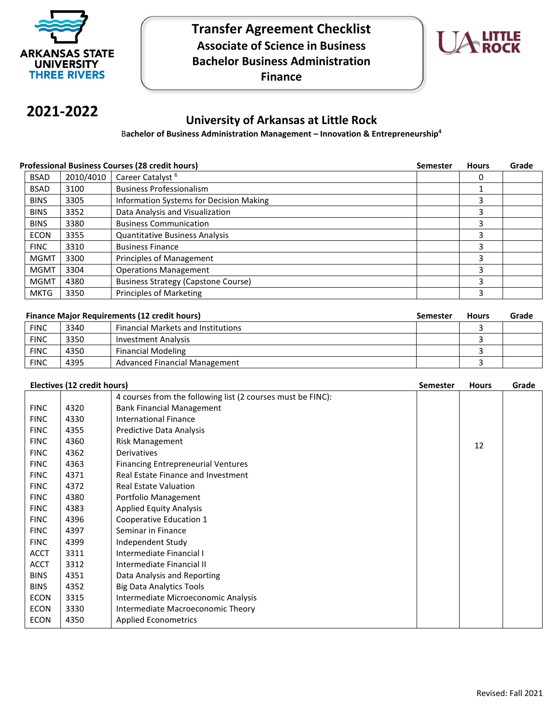

## **Transfer Agreement Checklist Associate of Science in Business Bachelor Business Administration Finance**



# **2021-2022**

### **University of Arkansas at Little Rock**

B**achelor of Business Administration Management – Innovation & Entrepreneurship4**

#### **Professional Business Courses (28 credit hours) Semester Hours Grade Semester Hours** Grade

| <b>BSAD</b> | 2010/4010 | Career Catalyst <sup>6</sup>               | 0 |  |
|-------------|-----------|--------------------------------------------|---|--|
| <b>BSAD</b> | 3100      | <b>Business Professionalism</b>            |   |  |
| <b>BINS</b> | 3305      | Information Systems for Decision Making    |   |  |
| <b>BINS</b> | 3352      | Data Analysis and Visualization            |   |  |
| <b>BINS</b> | 3380      | <b>Business Communication</b>              |   |  |
| <b>ECON</b> | 3355      | <b>Quantitative Business Analysis</b>      |   |  |
| <b>FINC</b> | 3310      | <b>Business Finance</b>                    |   |  |
| <b>MGMT</b> | 3300      | Principles of Management                   |   |  |
| <b>MGMT</b> | 3304      | <b>Operations Management</b>               |   |  |
| <b>MGMT</b> | 4380      | <b>Business Strategy (Capstone Course)</b> |   |  |
| MKTG        | 3350      | Principles of Marketing                    |   |  |

| <b>Finance Major Requirements (12 credit hours)</b> | Semester Hours | Grade |
|-----------------------------------------------------|----------------|-------|

|             |      |                                           |  | ------- |
|-------------|------|-------------------------------------------|--|---------|
| <b>FINC</b> | 3340 | <b>Financial Markets and Institutions</b> |  |         |
| <b>FINC</b> | 3350 | Investment Analysis                       |  |         |
| <b>FINC</b> | 4350 | <b>Financial Modeling</b>                 |  |         |
| <b>FINC</b> | 4395 | Advanced Financial Management             |  |         |
|             |      |                                           |  |         |

| Electives (12 credit hours) |      |                                                             | <b>Semester</b> | <b>Hours</b> | Grade |
|-----------------------------|------|-------------------------------------------------------------|-----------------|--------------|-------|
|                             |      | 4 courses from the following list (2 courses must be FINC): |                 |              |       |
| <b>FINC</b>                 | 4320 | <b>Bank Financial Management</b>                            |                 |              |       |
| <b>FINC</b>                 | 4330 | International Finance                                       |                 |              |       |
| <b>FINC</b>                 | 4355 | Predictive Data Analysis                                    |                 |              |       |
| <b>FINC</b>                 | 4360 | Risk Management                                             |                 | 12           |       |
| <b>FINC</b>                 | 4362 | <b>Derivatives</b>                                          |                 |              |       |
| <b>FINC</b>                 | 4363 | <b>Financing Entrepreneurial Ventures</b>                   |                 |              |       |
| <b>FINC</b>                 | 4371 | Real Estate Finance and Investment                          |                 |              |       |
| <b>FINC</b>                 | 4372 | <b>Real Estate Valuation</b>                                |                 |              |       |
| <b>FINC</b>                 | 4380 | Portfolio Management                                        |                 |              |       |
| <b>FINC</b>                 | 4383 | <b>Applied Equity Analysis</b>                              |                 |              |       |
| <b>FINC</b>                 | 4396 | Cooperative Education 1                                     |                 |              |       |
| <b>FINC</b>                 | 4397 | Seminar in Finance                                          |                 |              |       |
| <b>FINC</b>                 | 4399 | Independent Study                                           |                 |              |       |
| <b>ACCT</b>                 | 3311 | Intermediate Financial I                                    |                 |              |       |
| <b>ACCT</b>                 | 3312 | Intermediate Financial II                                   |                 |              |       |
| <b>BINS</b>                 | 4351 | Data Analysis and Reporting                                 |                 |              |       |
| <b>BINS</b>                 | 4352 | <b>Big Data Analytics Tools</b>                             |                 |              |       |
| <b>ECON</b>                 | 3315 | Intermediate Microeconomic Analysis                         |                 |              |       |
| <b>ECON</b>                 | 3330 | Intermediate Macroeconomic Theory                           |                 |              |       |
| <b>ECON</b>                 | 4350 | <b>Applied Econometrics</b>                                 |                 |              |       |
|                             |      |                                                             |                 |              |       |